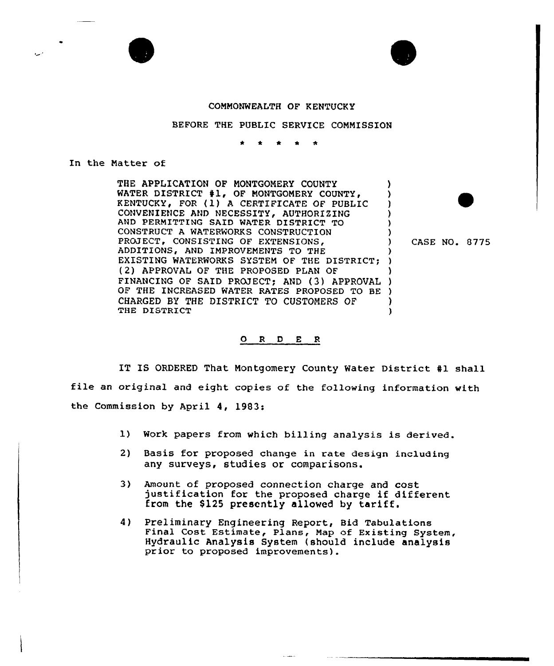

## BEFORE THE PUBLIC SERVICE COMMISSION

In the Matter of

 $\bullet$ 

THE APPLICATION OF MONTGOMERY COUNTY ) WATER DISTRICT #1, OF MONTGOMERY COUNTY, Υ KENTUCKY, FOR (1) A CERTIFICATE OF PUBLIC CONVENIENCE AND NECESSITY, AUTHORIZING ) AND PERMITTING SAID WATER DISTRICT TO ) CONSTRUCT A WATERWORKS CONSTRUCTION ) PROJECT, CONSISTING OF EXTENSIONS, ADDITIONS, AND IMPROVEMENTS TO THE } EXISTING WATERWORKS SYSTEM OF THE DISTRICT; ) (2) APPROVAL OF THE PROPOSED PLAN OF (2) APPROVAL OF THE PROPOSED PLAN OF<br>FINANCING OF SAID PROJECT; AND (3) APPROVAL ) ) OF THE INCREASED WATER RATES PROPOSED TO BE ) CHARGED BY THE DISTRICT TO CUSTOMERS OF ) THE DISTRICT )

) CASE NO. 6775

## 0 <sup>R</sup> <sup>D</sup> <sup>E</sup> 8

IT IS ORDERED That Montgomery County Water District #1 shall file an original and eight copies of the following information with the Commission by April 4, 1983:

- 1) Work papers from which billing analysis is derived.
- 2) Basis for proposed change in rate design including any surveys, studies or comparisons.
- 3) Amount of proposed connection charge and cost justification for the proposed charge if different from the \$125 presently allowed by tariff.
- 4) Preliminary Engineering Report, Bid Tabulations Final Cost Estimate, Plans, Map of Existing System, Hydraulic Analysis System (should include analysis prior to proposed improvements).